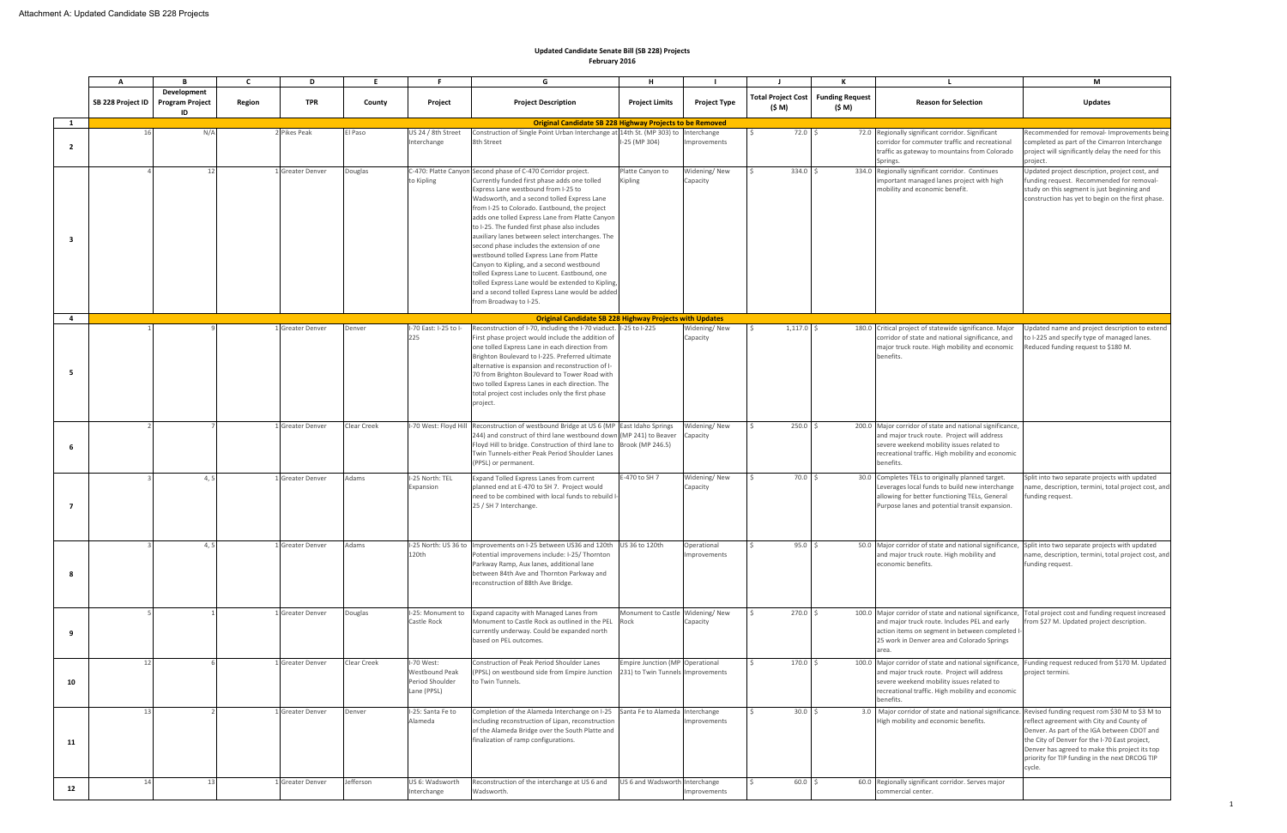|                | A                 |                                             | C      | D                     | E           |                                                                | G                                                                                                                                                                                                                                                                                                                                                                                                                                                                                                                                                                                                                                                                                                                                      | н                                                                    |                            |                                     | к                                |                                                                                                                                                                                                                                                                       | М                                                                                                                                                                                                                                                                                                         |
|----------------|-------------------|---------------------------------------------|--------|-----------------------|-------------|----------------------------------------------------------------|----------------------------------------------------------------------------------------------------------------------------------------------------------------------------------------------------------------------------------------------------------------------------------------------------------------------------------------------------------------------------------------------------------------------------------------------------------------------------------------------------------------------------------------------------------------------------------------------------------------------------------------------------------------------------------------------------------------------------------------|----------------------------------------------------------------------|----------------------------|-------------------------------------|----------------------------------|-----------------------------------------------------------------------------------------------------------------------------------------------------------------------------------------------------------------------------------------------------------------------|-----------------------------------------------------------------------------------------------------------------------------------------------------------------------------------------------------------------------------------------------------------------------------------------------------------|
|                | SB 228 Project ID | Development<br><b>Program Project</b><br>ID | Region | <b>TPR</b>            | County      | Project                                                        | <b>Project Description</b>                                                                                                                                                                                                                                                                                                                                                                                                                                                                                                                                                                                                                                                                                                             | <b>Project Limits</b>                                                | <b>Project Type</b>        | <b>Total Project Cost</b><br>(\$ M) | <b>Funding Request</b><br>(\$ M) | <b>Reason for Selection</b>                                                                                                                                                                                                                                           | <b>Updates</b>                                                                                                                                                                                                                                                                                            |
| 1              |                   |                                             |        |                       |             |                                                                | <b>Original Candidate SB 228 Highway Projects to be Removed</b>                                                                                                                                                                                                                                                                                                                                                                                                                                                                                                                                                                                                                                                                        |                                                                      |                            |                                     |                                  |                                                                                                                                                                                                                                                                       |                                                                                                                                                                                                                                                                                                           |
| $\overline{2}$ |                   | N/A                                         |        | 2 Pikes Peak          | El Paso     | US 24 / 8th Street<br>Interchange                              | Construction of Single Point Urban Interchange at 14th St. (MP 303) to<br>8th Street                                                                                                                                                                                                                                                                                                                                                                                                                                                                                                                                                                                                                                                   | I-25 (MP 304)                                                        | Interchange<br>nprovements | $72.0$ \$                           |                                  | 72.0 Regionally significant corridor. Significant<br>corridor for commuter traffic and recreational<br>traffic as gateway to mountains from Colorado<br>Springs.                                                                                                      | Recommended for removal- Improvements bein<br>completed as part of the Cimarron Interchange<br>project will significantly delay the need for this<br>project.                                                                                                                                             |
| - 3            |                   | 12                                          |        | 1 Greater Denver      | Douglas     | to Kipling                                                     | C-470: Platte Canyon Second phase of C-470 Corridor project.<br>Currently funded first phase adds one tolled<br>Express Lane westbound from I-25 to<br>Wadsworth, and a second tolled Express Lane<br>from I-25 to Colorado. Eastbound, the project<br>adds one tolled Express Lane from Platte Canyon<br>to I-25. The funded first phase also includes<br>auxiliary lanes between select interchanges. The<br>second phase includes the extension of one<br>westbound tolled Express Lane from Platte<br>Canyon to Kipling, and a second westbound<br>tolled Express Lane to Lucent. Eastbound, one<br>tolled Express Lane would be extended to Kipling,<br>and a second tolled Express Lane would be added<br>from Broadway to I-25. | Platte Canyon to<br>Kipling                                          | Widening/New<br>Capacity   | 334.0 \$                            |                                  | 334.0 Regionally significant corridor. Continues<br>mportant managed lanes project with high<br>mobility and economic benefit.                                                                                                                                        | Updated project description, project cost, and<br>funding request. Recommended for removal-<br>study on this segment is just beginning and<br>construction has yet to begin on the first phase.                                                                                                           |
| $\overline{4}$ |                   |                                             |        |                       |             |                                                                | <b>Original Candidate SB 228 Highway Projects with Updates</b>                                                                                                                                                                                                                                                                                                                                                                                                                                                                                                                                                                                                                                                                         |                                                                      |                            |                                     |                                  |                                                                                                                                                                                                                                                                       |                                                                                                                                                                                                                                                                                                           |
| -5             |                   |                                             |        | 1 Greater Denver      | Denver      | I-70 East: I-25 to I-<br>225                                   | Reconstruction of I-70, including the I-70 viaduct. I-25 to I-225<br>First phase project would include the addition of<br>one tolled Express Lane in each direction from<br>Brighton Boulevard to I-225. Preferred ultimate<br>alternative is expansion and reconstruction of I-<br>70 from Brighton Boulevard to Tower Road with<br>two tolled Express Lanes in each direction. The<br>total project cost includes only the first phase<br>project.                                                                                                                                                                                                                                                                                   |                                                                      | Widening/New<br>Capacity   | $1,117.0$ \$                        |                                  | 180.0 Critical project of statewide significance. Major<br>corridor of state and national significance, and<br>major truck route. High mobility and economic<br>benefits.                                                                                             | Updated name and project description to extend<br>to I-225 and specify type of managed lanes.<br>Reduced funding request to \$180 M.                                                                                                                                                                      |
| 6              |                   |                                             |        | 1 Greater Denver      | Clear Creek | I-70 West: Floyd Hi                                            | Reconstruction of westbound Bridge at US 6 (MP East Idaho Springs<br>244) and construct of third lane westbound down (MP 241) to Beaver<br>Floyd Hill to bridge. Construction of third lane to Brook (MP 246.5)<br>Twin Tunnels-either Peak Period Shoulder Lanes<br>(PPSL) or permanent.                                                                                                                                                                                                                                                                                                                                                                                                                                              |                                                                      | Videning/New<br>Capacity   | $250.0$ \$                          |                                  | 200.0 Major corridor of state and national significance,<br>and major truck route. Project will address<br>severe weekend mobility issues related to<br>recreational traffic. High mobility and economic<br>benefits.                                                 |                                                                                                                                                                                                                                                                                                           |
| - 7            |                   | 4.5                                         |        | 1 Greater Denver      | Adams       | I-25 North: TEL<br>Expansion                                   | Expand Tolled Express Lanes from current<br>planned end at E-470 to SH 7. Project would<br>need to be combined with local funds to rebuild I-<br>25 / SH 7 Interchange.                                                                                                                                                                                                                                                                                                                                                                                                                                                                                                                                                                | E-470 to SH 7                                                        | Widening/New<br>Capacity   | 70.0 \$                             |                                  | 30.0 Completes TELs to originally planned target.<br>Leverages local funds to build new interchange<br>allowing for better functioning TELs, General<br>Purpose lanes and potential transit expansion.                                                                | Split into two separate projects with updated<br>name, description, termini, total project cost, and<br>funding request.                                                                                                                                                                                  |
| 8              |                   | 4, 5                                        |        | 1 Greater Denver      | Adams       | 120th                                                          | I-25 North: US 36 to Improvements on I-25 between US36 and 120th US 36 to 120th<br>Potential improvemens include: I-25/ Thornton<br>Parkway Ramp, Aux lanes, additional lane<br>between 84th Ave and Thornton Parkway and<br>reconstruction of 88th Ave Bridge.                                                                                                                                                                                                                                                                                                                                                                                                                                                                        |                                                                      | Operational<br>mprovements | $95.0$ \$                           |                                  | 50.0 Major corridor of state and national significance, Split into two separate projects with updated<br>and major truck route. High mobility and<br>economic benefits.                                                                                               | name, description, termini, total project cost, and<br>funding request.                                                                                                                                                                                                                                   |
| 9              |                   |                                             |        | 1 Greater Denver      | Douglas     | I-25: Monument to<br>Castle Rock                               | Expand capacity with Managed Lanes from<br>Monument to Castle Rock as outlined in the PEL<br>currently underway. Could be expanded north<br>based on PEL outcomes.                                                                                                                                                                                                                                                                                                                                                                                                                                                                                                                                                                     | Monument to Castle Widening/New<br>Rock                              | Capacity                   | $270.0$ \$                          |                                  | 100.0 Major corridor of state and national significance, Total project cost and funding request increased<br>and major truck route. Includes PEL and early<br>action items on segment in between completed I-<br>25 work in Denver area and Colorado Springs<br>area. | from \$27 M. Updated project description.                                                                                                                                                                                                                                                                 |
| 10             | 12                |                                             |        | 1 Greater Denver      | Clear Creek | I-70 West:<br>Westbound Peak<br>Period Shoulder<br>Lane (PPSL) | Construction of Peak Period Shoulder Lanes<br>(PPSL) on westbound side from Empire Junction<br>o Twin Tunnels.                                                                                                                                                                                                                                                                                                                                                                                                                                                                                                                                                                                                                         | Empire Junction (MP Operational<br>231) to Twin Tunnels Improvements |                            | $170.0$ \$                          |                                  | 100.0 Major corridor of state and national significance, Funding request reduced from \$170 M. Updated<br>and major truck route. Project will address<br>severe weekend mobility issues related to<br>recreational traffic. High mobility and economic<br>benefits.   | project termini.                                                                                                                                                                                                                                                                                          |
| 11             | 13                |                                             |        | 1 Greater Denver      | Denver      | I-25: Santa Fe to<br>Alameda                                   | Completion of the Alameda Interchange on I-25 Santa Fe to Alameda Interchange<br>including reconstruction of Lipan, reconstruction<br>of the Alameda Bridge over the South Platte and<br>finalization of ramp configurations.                                                                                                                                                                                                                                                                                                                                                                                                                                                                                                          |                                                                      | mprovements                | 30.0%                               |                                  | 3.0 Major corridor of state and national significance.<br>High mobility and economic benefits.                                                                                                                                                                        | Revised funding request rom \$30 M to \$3 M to<br>reflect agreement with City and County of<br>Denver. As part of the IGA between CDOT and<br>the City of Denver for the I-70 East project,<br>Denver has agreed to make this project its top<br>priority for TIP funding in the next DRCOG TIP<br>cycle. |
| 12             | 14                | 13                                          |        | <b>Greater Denver</b> | Jefferson   | US 6: Wadsworth<br>Interchange                                 | Reconstruction of the interchange at US 6 and<br>Wadsworth.                                                                                                                                                                                                                                                                                                                                                                                                                                                                                                                                                                                                                                                                            | US 6 and Wadsworth Interchange                                       | mprovements                | 60.0%                               |                                  | 60.0 Regionally significant corridor. Serves major<br>ommercial center.                                                                                                                                                                                               |                                                                                                                                                                                                                                                                                                           |

## **Updated Candidate Senate Bill (SB 228) Projects February 2016**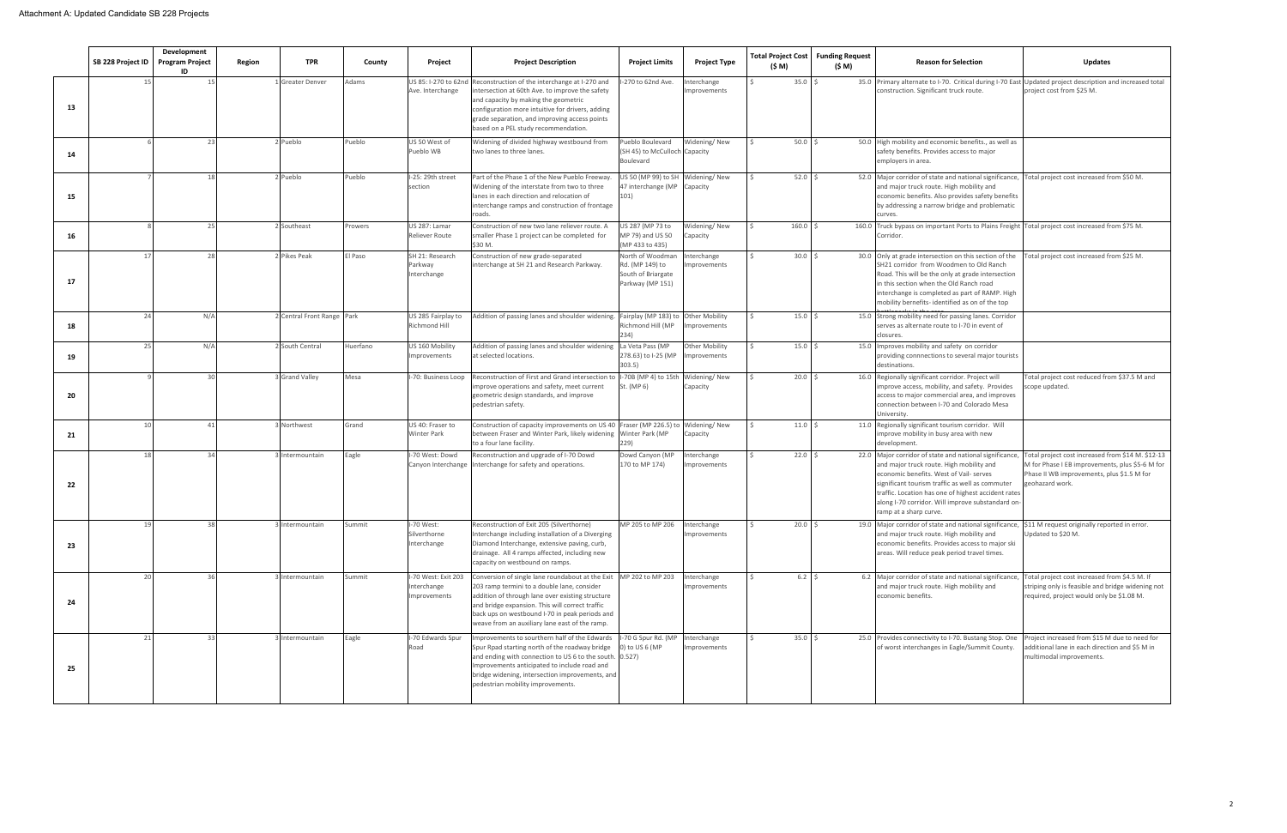|    | SB 228 Project ID | Development<br><b>Program Project</b><br>ID | Region | <b>TPR</b>                 | County   | Project                                                   | <b>Project Description</b>                                                                                                                                                                                                                                                                                                  | <b>Project Limits</b>                                                         | <b>Project Type</b>                  | <b>Total Project Cost</b><br>(\$ M) | <b>Funding Request</b><br>(\$ M) | <b>Reason for Selection</b>                                                                                                                                                                                                                                                                                                            | <b>Updates</b>                                                                                                                                                        |
|----|-------------------|---------------------------------------------|--------|----------------------------|----------|-----------------------------------------------------------|-----------------------------------------------------------------------------------------------------------------------------------------------------------------------------------------------------------------------------------------------------------------------------------------------------------------------------|-------------------------------------------------------------------------------|--------------------------------------|-------------------------------------|----------------------------------|----------------------------------------------------------------------------------------------------------------------------------------------------------------------------------------------------------------------------------------------------------------------------------------------------------------------------------------|-----------------------------------------------------------------------------------------------------------------------------------------------------------------------|
| 13 |                   |                                             |        | <b>Greater Denver</b>      | Adams    | Ave. Interchange                                          | US 85: I-270 to 62nd Reconstruction of the interchange at I-270 and<br>ntersection at 60th Ave. to improve the safety<br>and capacity by making the geometric<br>configuration more intuitive for drivers, adding<br>grade separation, and improving access points<br>based on a PEL study recommendation.                  | -270 to 62nd Ave.                                                             | <b>nterchange</b><br>mprovements     | 35.0%                               |                                  | 35.0 Primary alternate to I-70. Critical during I-70 East Updated project description and increased total<br>construction. Significant truck route.                                                                                                                                                                                    | project cost from \$25 M.                                                                                                                                             |
| 14 |                   | -23                                         |        | Pueblo                     | Pueblo   | US 50 West of<br>Pueblo WB                                | Widening of divided highway westbound from<br>two lanes to three lanes.                                                                                                                                                                                                                                                     | ueblo Boulevard<br>(SH 45) to McCulloch Capacity<br>Boulevard                 | Widening/New                         | $50.0$ \$                           |                                  | 50.0 High mobility and economic benefits., as well as<br>safety benefits. Provides access to major<br>mployers in area.                                                                                                                                                                                                                |                                                                                                                                                                       |
| 15 |                   | 18                                          |        | Pueblo                     | Pueblo   | I-25: 29th street<br>section                              | Part of the Phase 1 of the New Pueblo Freeway<br>Widening of the interstate from two to three<br>lanes in each direction and relocation of<br>nterchange ramps and construction of frontage<br>roads.                                                                                                                       | US 50 (MP 99) to SH<br>47 interchange (MP<br>101)                             | Widening/New<br>Capacity             | $52.0$ \$                           |                                  | 52.0 Major corridor of state and national significance,<br>and major truck route. High mobility and<br>economic benefits. Also provides safety benefits<br>by addressing a narrow bridge and problematic<br>urves.                                                                                                                     | Total project cost increased from \$50 M.                                                                                                                             |
| 16 |                   | 25                                          |        | Southeast                  | Prowers  | US 287: Lamar<br>Reliever Route                           | Construction of new two lane reliever route. A<br>smaller Phase 1 project can be completed for<br>\$30 M.                                                                                                                                                                                                                   | JS 287 (MP 73 to<br>MP 79) and US 50<br>(MP 433 to 435)                       | Nidening/New<br>Capacity             | 160.0                               | 160.0                            | ruck bypass on important Ports to Plains Freight Total project cost increased from \$75 M.<br>Corridor.                                                                                                                                                                                                                                |                                                                                                                                                                       |
| 17 | 17                | 28                                          |        | Pikes Peak                 | El Paso  | SH 21: Research<br>Parkway<br>Interchange                 | Construction of new grade-separated<br>nterchange at SH 21 and Research Parkway.                                                                                                                                                                                                                                            | North of Woodman<br>Rd. (MP 149) to<br>South of Briargate<br>Parkway (MP 151) | nterchange<br>mprovements            | $30.0$ \$                           |                                  | 30.0 Only at grade intersection on this section of the<br>SH21 corridor from Woodmen to Old Ranch<br>Road. This will be the only at grade intersection<br>in this section when the Old Ranch road<br>interchange is completed as part of RAMP. High<br>mobility bernefits- identified as on of the top                                 | Total project cost increased from \$25 M.                                                                                                                             |
| 18 | 24                | N/A                                         |        | 2 Central Front Range Park |          | US 285 Fairplay to<br>Richmond Hill                       | ddition of passing lanes and shoulder widening. Fairplay (MP 183) to                                                                                                                                                                                                                                                        | Richmond Hill (MP                                                             | <b>Other Mobility</b><br>mprovements | 15.0%                               |                                  | 15.0 Strong mobility need for passing lanes. Corridor<br>serves as alternate route to I-70 in event of<br>losures.                                                                                                                                                                                                                     |                                                                                                                                                                       |
| 19 | 25                | N/A                                         |        | South Central              | Huerfano | US 160 Mobility<br><b>Improvements</b>                    | Addition of passing lanes and shoulder widening<br>at selected locations.                                                                                                                                                                                                                                                   | La Veta Pass (MP<br>278.63) to I-25 (MP<br>303.5)                             | Other Mobility<br>mprovements        | $15.0$ \$                           |                                  | 15.0 Improves mobility and safety on corridor<br>providing connnections to several major tourists<br>destinations.                                                                                                                                                                                                                     |                                                                                                                                                                       |
| 20 |                   | 30 <sup>1</sup>                             |        | <b>Grand Valley</b>        | Mesa     | -70: Business Loop                                        | Reconstruction of First and Grand intersection to<br>mprove operations and safety, meet current<br>geometric design standards, and improve<br>pedestrian safety.                                                                                                                                                            | I-70B (MP 4) to 15th<br>St. (MP 6)                                            | Widening/New<br>Capacity             | $20.0$ \$                           |                                  | 16.0 Regionally significant corridor. Project will<br>mprove access, mobility, and safety. Provides<br>access to major commercial area, and improves<br>connection between I-70 and Colorado Mesa<br>University.                                                                                                                       | otal project cost reduced from \$37.5 M and<br>cope updated.                                                                                                          |
| 21 |                   | 41                                          |        | Northwest                  | Grand    | US 40: Fraser to<br><b>Winter Park</b>                    | Construction of capacity improvements on US 40 Fraser (MP 226.5) to<br>between Fraser and Winter Park, likely widening Winter Park (MP<br>to a four lane facility.                                                                                                                                                          | 229)                                                                          | Widening/New<br>Capacity             | 11.0%                               |                                  | 11.0 Regionally significant tourism corridor. Will<br>mprove mobility in busy area with new<br>development.                                                                                                                                                                                                                            |                                                                                                                                                                       |
| 22 | 18                | 34                                          |        | Intermountain              | Eagle    | I-70 West: Dowd<br>Canyon Interchange                     | Reconstruction and upgrade of I-70 Dowd<br>nterchange for safety and operations.                                                                                                                                                                                                                                            | Dowd Canyon (MP<br>170 to MP 174)                                             | <b>nterchange</b><br>mprovements     | 22.0%                               |                                  | 22.0 Major corridor of state and national significance,<br>and major truck route. High mobility and<br>economic benefits. West of Vail- serves<br>significant tourism traffic as well as commuter<br>traffic. Location has one of highest accident rates<br>along I-70 corridor. Will improve substandard on<br>ramp at a sharp curve. | Total project cost increased from \$14 M. \$12-13<br>M for Phase I EB improvements, plus \$5-6 M for<br>Phase II WB improvements, plus \$1.5 M for<br>geohazard work. |
| 23 | 19                | 38                                          |        | Intermountain              | Summit   | I-70 West:<br>Silverthorne<br>Interchange                 | Reconstruction of Exit 205 (Silverthorne)<br>nterchange including installation of a Diverging<br>Diamond Interchange, extensive paving, curb,<br>drainage. All 4 ramps affected, including new<br>capacity on westbound on ramps.                                                                                           | MP 205 to MP 206                                                              | nterchange<br>mprovements            | 20.0%                               |                                  | 19.0 Major corridor of state and national significance, \$11 M request originally reported in error.<br>and major truck route. High mobility and<br>economic benefits. Provides access to major ski<br>areas. Will reduce peak period travel times.                                                                                    | Updated to \$20 M.                                                                                                                                                    |
| 24 | 20                | 36                                          |        | Intermountain              | Summit   | I-70 West: Exit 203<br>Interchange<br><b>Improvements</b> | Conversion of single lane roundabout at the Exit MP 202 to MP 203<br>203 ramp termini to a double lane, consider<br>addition of through lane over existing structure<br>and bridge expansion. This will correct traffic<br>back ups on westbound I-70 in peak periods and<br>weave from an auxiliary lane east of the ramp. |                                                                               | nterchange<br>mprovements            | $6.2 \quad$                         |                                  | 6.2 Major corridor of state and national significance, Total project cost increased from \$4.5 M. If<br>and major truck route. High mobility and<br>economic benefits.                                                                                                                                                                 | striping only is feasible and bridge widening not<br>required, project would only be \$1.08 M.                                                                        |
| 25 | 21                | -33                                         |        | Intermountain              | Eagle    | I-70 Edwards Spur<br>Road                                 | mprovements to sourthern half of the Edwards<br>Spur Rpad starting north of the roadway bridge<br>and ending with connection to US 6 to the south. 0.527)<br>mprovements anticipated to include road and<br>bridge widening, intersection improvements, and<br>pedestrian mobility improvements.                            | -70 G Spur Rd. (MP<br>0) to US 6 (MP                                          | nterchange<br>mprovements            | 35.0%                               |                                  | 25.0 Provides connectivity to I-70. Bustang Stop. One<br>of worst interchanges in Eagle/Summit County.                                                                                                                                                                                                                                 | roject increased from \$15 M due to need for<br>dditional lane in each direction and \$5 M in<br>multimodal improvements.                                             |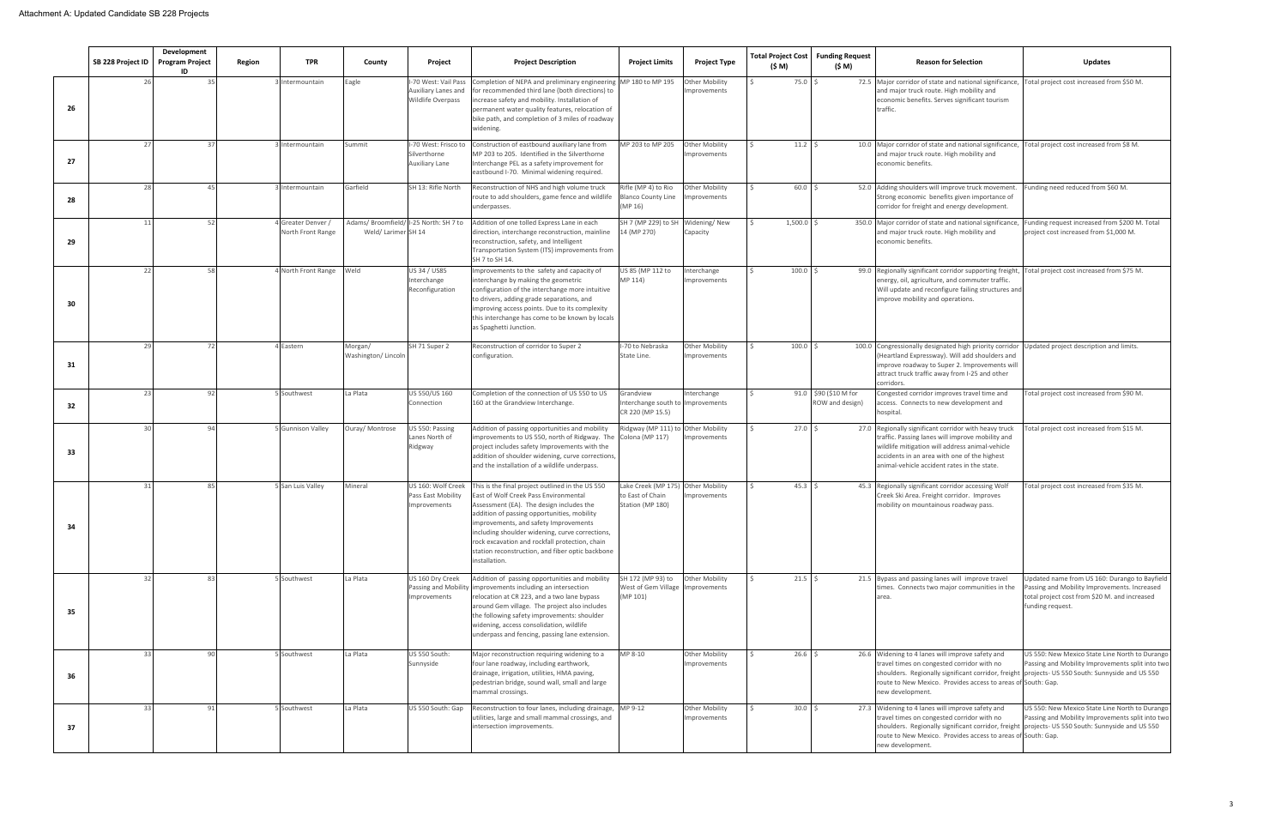|    | SB 228 Project ID | Development<br><b>Program Project</b> | Region<br><b>TPR</b>                    | County                        | Project                                                                 | <b>Project Description</b>                                                                                                                                                                                                                                                                                                                                                                            | <b>Project Limits</b>                                                      | <b>Project Type</b>                   | <b>Total Project Cost   Funding Request</b><br>(\$ M) | (\$ M)                                   | <b>Reason for Selection</b>                                                                                                                                                                                                                                                            | Updates                                                                                                                                                            |
|----|-------------------|---------------------------------------|-----------------------------------------|-------------------------------|-------------------------------------------------------------------------|-------------------------------------------------------------------------------------------------------------------------------------------------------------------------------------------------------------------------------------------------------------------------------------------------------------------------------------------------------------------------------------------------------|----------------------------------------------------------------------------|---------------------------------------|-------------------------------------------------------|------------------------------------------|----------------------------------------------------------------------------------------------------------------------------------------------------------------------------------------------------------------------------------------------------------------------------------------|--------------------------------------------------------------------------------------------------------------------------------------------------------------------|
| 26 | 26                | ID<br>35                              | 3 Intermountain                         | Eagle                         | I-70 West: Vail Pass<br>Auxiliary Lanes and<br><b>Wildlife Overpass</b> | Completion of NEPA and preliminary engineering MP 180 to MP 195<br>for recommended third lane (both directions) to<br>increase safety and mobility. Installation of<br>permanent water quality features, relocation of<br>bike path, and completion of 3 miles of roadway<br>widening.                                                                                                                |                                                                            | Other Mobility<br>mprovements         | 75.0                                                  |                                          | 72.5 Major corridor of state and national significance, Total project cost increased from \$50 M.<br>and major truck route. High mobility and<br>economic benefits. Serves significant tourism<br>traffic.                                                                             |                                                                                                                                                                    |
| 27 | 27                | 37                                    | 3 Intermountain                         | Summit                        | I-70 West: Frisco to<br>Silverthorne<br>Auxiliary Lane                  | Construction of eastbound auxiliary lane from<br>MP 203 to 205. Identified in the Silverthorne<br>Interchange PEL as a safety improvement for<br>eastbound I-70. Minimal widening required.                                                                                                                                                                                                           | MP 203 to MP 205                                                           | <b>Other Mobility</b><br>mprovements  | $11.2 \frac{5}{7}$                                    |                                          | 10.0 Major corridor of state and national significance, Total project cost increased from \$8 M.<br>and major truck route. High mobility and<br>economic benefits.                                                                                                                     |                                                                                                                                                                    |
| 28 | 28                | 45                                    | 3 Intermountain                         | Garfield                      | SH 13: Rifle North                                                      | Reconstruction of NHS and high volume truck<br>route to add shoulders, game fence and wildlife<br>underpasses.                                                                                                                                                                                                                                                                                        | Rifle (MP 4) to Rio<br><b>Blanco County Line</b><br>(MP 16)                | Other Mobility<br>nprovements         | 60.0                                                  |                                          | 52.0 Adding shoulders will improve truck movement.<br>Strong economic benefits given importance of<br>corridor for freight and energy development.                                                                                                                                     | Funding need reduced from \$60 M.                                                                                                                                  |
| 29 | 11                | 52                                    | 4 Greater Denver /<br>North Front Range | Weld/ Larimer SH 14           | Adams/ Broomfield/ I-25 North: SH 7 to                                  | Addition of one tolled Express Lane in each<br>direction, interchange reconstruction, mainline<br>reconstruction, safety, and Intelligent<br>Transportation System (ITS) improvements from<br>SH 7 to SH 14.                                                                                                                                                                                          | SH 7 (MP 229) to SH Widening/ New<br>14 (MP 270)                           | Capacity                              | 1,500.0                                               |                                          | 350.0 Major corridor of state and national significance, Funding request increased from \$200 M. Total<br>and major truck route. High mobility and<br>economic benefits.                                                                                                               | project cost increased from \$1,000 M.                                                                                                                             |
| 30 | 22                | 58                                    | 4 North Front Range                     | Weld                          | US 34 / US85<br>Interchange<br>Reconfiguration                          | mprovements to the safety and capacity of<br>nterchange by making the geometric<br>configuration of the interchange more intuitive<br>to drivers, adding grade separations, and<br>mproving access points. Due to its complexity<br>this interchange has come to be known by locals<br>as Spaghetti Junction.                                                                                         | US 85 (MP 112 to<br>MP 114)                                                | terchange<br>mprovements              | 100.0                                                 |                                          | 99.0 Regionally significant corridor supporting freight, Total project cost increased from \$75 M.<br>energy, oil, agriculture, and commuter traffic.<br>Will update and reconfigure failing structures and<br>improve mobility and operations.                                        |                                                                                                                                                                    |
| 31 | 29                | 72                                    | 4 Eastern                               | Morgan/<br>Washington/Lincoln | SH 71 Super 2                                                           | Reconstruction of corridor to Super 2<br>configuration.                                                                                                                                                                                                                                                                                                                                               | I-70 to Nebraska<br>State Line.                                            | Other Mobility<br>mprovements         | 100.0                                                 |                                          | 100.0 Congressionally designated high priority corridor Updated project description and limits.<br>(Heartland Expressway). Will add shoulders and<br>improve roadway to Super 2. Improvements will<br>attract truck traffic away from I-25 and other<br>corridors.                     |                                                                                                                                                                    |
| 32 | 23                | 92                                    | 5 Southwest                             | La Plata                      | US 550/US 160<br>Connection                                             | Completion of the connection of US 550 to US<br>160 at the Grandview Interchange.                                                                                                                                                                                                                                                                                                                     | Grandview<br>nterchange south to<br>CR 220 (MP 15.5)                       | Interchange<br><b>Improvements</b>    |                                                       | 91.0 \$90 (\$10 M for<br>ROW and design) | Congested corridor improves travel time and<br>access. Connects to new development and<br>hospital.                                                                                                                                                                                    | Total project cost increased from \$90 M.                                                                                                                          |
| 33 | 30                | 94                                    | 5 Gunnison Valley                       | Ouray/ Montrose               | US 550: Passing<br>Lanes North of<br>Ridgway                            | Addition of passing opportunities and mobility<br>mprovements to US 550, north of Ridgway. The Colona (MP 117)<br>project includes safety Improvements with the<br>addition of shoulder widening, curve corrections,<br>and the installation of a wildlife underpass.                                                                                                                                 | Ridgway (MP 111) t                                                         | Other Mobility<br>nprovements         | 27.0                                                  |                                          | 27.0 Regionally significant corridor with heavy truck<br>traffic. Passing lanes will improve mobility and<br>wildlife mitigation will address animal-vehicle<br>accidents in an area with one of the highest<br>animal-vehicle accident rates in the state.                            | otal project cost increased from \$15 M.                                                                                                                           |
| 34 | 31                | 85                                    | 5 San Luis Valley                       | Mineral                       | US 160: Wolf Creek<br>Pass East Mobility<br>mprovements                 | his is the final project outlined in the US 550<br>East of Wolf Creek Pass Environmental<br>Assessment (EA). The design includes the<br>addition of passing opportunities, mobility<br>mprovements, and safety Improvements<br>including shoulder widening, curve corrections,<br>rock excavation and rockfall protection, chain<br>station reconstruction, and fiber optic backbone<br>installation. | Lake Creek (MP 175) Other Mobility<br>to East of Chain<br>Station (MP 180) | mprovements                           | 45.3                                                  |                                          | 45.3 Regionally significant corridor accessing Wolf<br>Creek Ski Area. Freight corridor. Improves<br>mobility on mountainous roadway pass.                                                                                                                                             | Total project cost increased from \$35 M.                                                                                                                          |
| 35 | 32                | 83                                    | 5 Southwest                             | La Plata                      | US 160 Dry Creek<br>Improvements                                        | Addition of passing opportunities and mobility<br>Passing and Mobility improvements including an intersection<br>relocation at CR 223, and a two lane bypass<br>around Gem village. The project also includes<br>the following safety improvements: shoulder<br>widening, access consolidation, wildlife<br>underpass and fencing, passing lane extension.                                            | SH 172 (MP 93) to<br>West of Gem Village<br>(MP 101)                       | <b>Other Mobility</b><br>Improvements | $21.5$ \$                                             |                                          | 21.5 Bypass and passing lanes will improve travel<br>times. Connects two major communities in the<br>area.                                                                                                                                                                             | Updated name from US 160: Durango to Bayfield<br>Passing and Mobility Improvements. Increased<br>total project cost from \$20 M. and increased<br>funding request. |
| 36 | 33                | 90                                    | 5 Southwest                             | La Plata                      | US 550 South:<br>Sunnyside                                              | Major reconstruction requiring widening to a<br>four lane roadway, including earthwork,<br>drainage, irrigation, utilities, HMA paving,<br>pedestrian bridge, sound wall, small and large<br>mammal crossings.                                                                                                                                                                                        | MP 8-10                                                                    | Other Mobility<br>Improvements        | $26.6$ \$                                             |                                          | 26.6 Widening to 4 lanes will improve safety and<br>travel times on congested corridor with no<br>shoulders. Regionally significant corridor, freight projects- US 550 South: Sunnyside and US 550<br>route to New Mexico. Provides access to areas of South: Gap.<br>new development. | US 550: New Mexico State Line North to Durango<br>Passing and Mobility Improvements split into two                                                                 |
| 37 | 33                | 91                                    | 5 Southwest                             | La Plata                      | US 550 South: Gap                                                       | Reconstruction to four lanes, including drainage, MP 9-12<br>utilities, large and small mammal crossings, and<br>intersection improvements.                                                                                                                                                                                                                                                           |                                                                            | Other Mobility<br>Improvements        | 30.0                                                  |                                          | 27.3 Widening to 4 lanes will improve safety and<br>travel times on congested corridor with no<br>shoulders. Regionally significant corridor, freight projects- US 550 South: Sunnyside and US 550<br>route to New Mexico. Provides access to areas of South: Gap.<br>new development. | US 550: New Mexico State Line North to Durango<br>Passing and Mobility Improvements split into two                                                                 |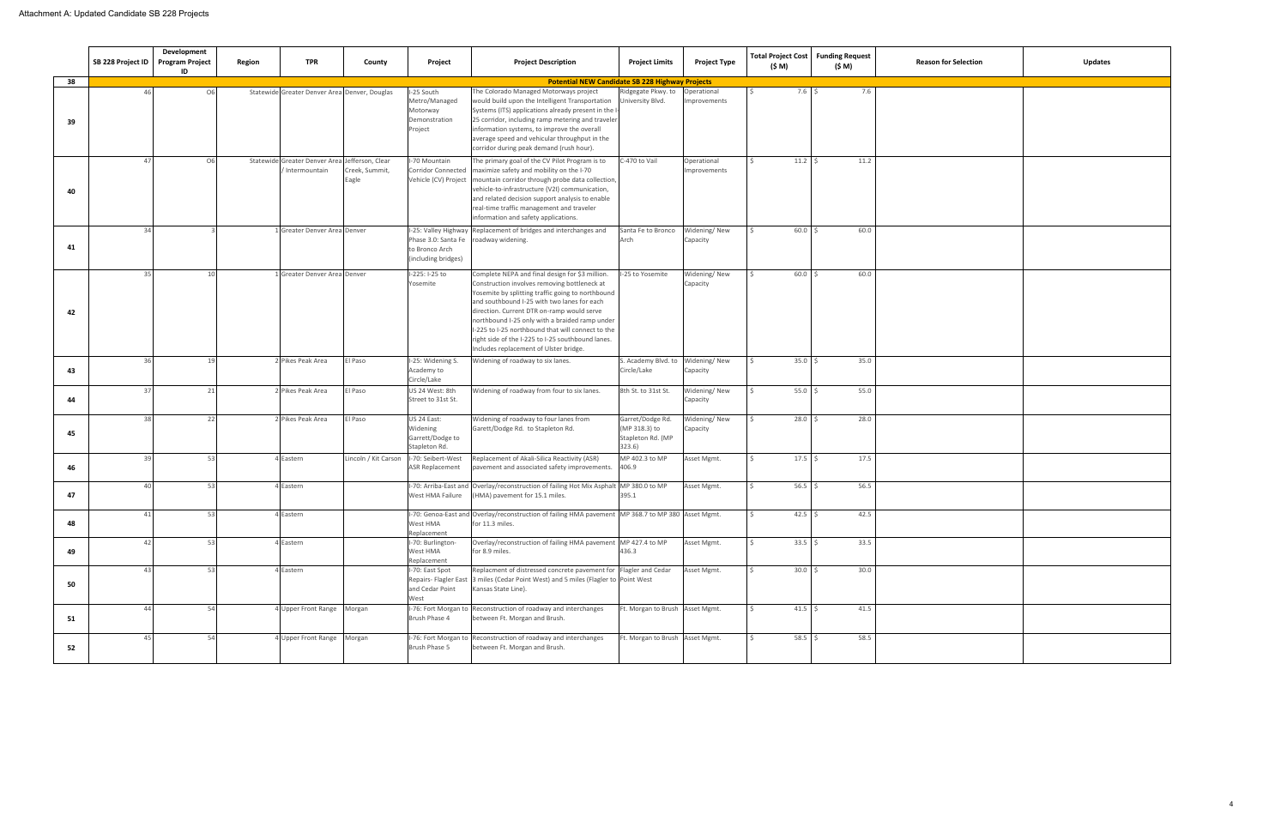|    | SB 228 Project ID | Development<br><b>Program Project</b><br>ID | Region | <b>TPR</b>                                                      | County                  | Project                                                                        | <b>Project Description</b>                                                                                                                                                                                                                                                                                                                                                                                                                              | <b>Project Limits</b>                                            | <b>Project Type</b>         | <b>Total Project Cost</b><br>(\$ M) | <b>Funding Request</b><br>(\$ M) | <b>Reason for Selection</b> | <b>Updates</b> |
|----|-------------------|---------------------------------------------|--------|-----------------------------------------------------------------|-------------------------|--------------------------------------------------------------------------------|---------------------------------------------------------------------------------------------------------------------------------------------------------------------------------------------------------------------------------------------------------------------------------------------------------------------------------------------------------------------------------------------------------------------------------------------------------|------------------------------------------------------------------|-----------------------------|-------------------------------------|----------------------------------|-----------------------------|----------------|
| 38 |                   |                                             |        |                                                                 |                         |                                                                                | <b>Potential NEW Candidate SB 228 Highway Projects</b>                                                                                                                                                                                                                                                                                                                                                                                                  |                                                                  |                             |                                     |                                  |                             |                |
| 39 | 46                | O6                                          |        | Statewide Greater Denver Area Denver, Douglas                   |                         | I-25 South<br>Metro/Managed<br>Motorway<br>Demonstration<br>Project            | The Colorado Managed Motorways project<br>would build upon the Intelligent Transportation<br>Systems (ITS) applications already present in the I<br>25 corridor, including ramp metering and traveler<br>information systems, to improve the overall<br>average speed and vehicular throughput in the<br>corridor during peak demand (rush hour).                                                                                                       | Ridgegate Pkwy. to<br>University Blvd.                           | Operational<br>Improvements | 7.6%                                | 7.6                              |                             |                |
| 40 | 47                | O <sub>6</sub>                              |        | Statewide Greater Denver Area Jefferson, Clear<br>Intermountain | Creek, Summit,<br>Eagle | I-70 Mountain<br><b>Corridor Connected</b>                                     | The primary goal of the CV Pilot Program is to<br>maximize safety and mobility on the I-70<br>Vehicle (CV) Project mountain corridor through probe data collection,<br>vehicle-to-infrastructure (V2I) communication,<br>and related decision support analysis to enable<br>real-time traffic management and traveler<br>nformation and safety applications.                                                                                            | -470 to Vail                                                     | Operational<br>Improvements | $11.2$ \$                           | 11.2                             |                             |                |
| 41 | 34                |                                             |        | Greater Denver Area Denver                                      |                         | Phase 3.0: Santa Fe roadway widening.<br>to Bronco Arch<br>(including bridges) | I-25: Valley Highway Replacement of bridges and interchanges and                                                                                                                                                                                                                                                                                                                                                                                        | Santa Fe to Bronco<br>Arch                                       | Widening/New<br>Capacity    | $60.0$ \$                           | 60.0                             |                             |                |
| 42 |                   | 10                                          |        | Greater Denver Area Denver                                      |                         | I-225: I-25 to<br>Yosemite                                                     | Complete NEPA and final design for \$3 million.<br>Construction involves removing bottleneck at<br>Yosemite by splitting traffic going to northbound<br>and southbound I-25 with two lanes for each<br>direction. Current DTR on-ramp would serve<br>northbound I-25 only with a braided ramp under<br>I-225 to I-25 northbound that will connect to the<br>right side of the I-225 to I-25 southbound lanes.<br>Includes replacement of Ulster bridge. | -25 to Yosemite                                                  | Widening/New<br>Capacity    | $60.0$ \$                           | 60.0                             |                             |                |
| 43 | 26                | 19                                          |        | Pikes Peak Area                                                 | El Paso                 | I-25: Widening S<br>Academy to<br>Circle/Lake                                  | Widening of roadway to six lanes.                                                                                                                                                                                                                                                                                                                                                                                                                       | S. Academy Blvd. to Widening/New<br>Circle/Lake                  | Capacity                    | 35.0%                               | 35.0                             |                             |                |
| 44 | 37                | 21                                          |        | Pikes Peak Area                                                 | El Paso                 | US 24 West: 8th<br>Street to 31st St.                                          | Widening of roadway from four to six lanes.                                                                                                                                                                                                                                                                                                                                                                                                             | 8th St. to 31st St.                                              | Widening/New<br>Capacity    | $55.0$ \$                           | 55.0                             |                             |                |
| 45 | 38                | 22                                          |        | Pikes Peak Area                                                 | El Paso                 | US 24 East:<br>Widening<br>Garrett/Dodge to<br>Stapleton Rd.                   | Widening of roadway to four lanes from<br>Garett/Dodge Rd. to Stapleton Rd.                                                                                                                                                                                                                                                                                                                                                                             | Garret/Dodge Rd.<br>(MP 318.3) to<br>Stapleton Rd. (MP<br>323.6) | Widening/New<br>Capacity    | $28.0$ \$                           | 28.0                             |                             |                |
| 46 | 39                | 53                                          |        | Eastern                                                         | Lincoln / Kit Carson    | I-70: Seibert-West<br><b>ASR Replacement</b>                                   | Replacement of Akali-Silica Reactivity (ASR)<br>pavement and associated safety improvements.                                                                                                                                                                                                                                                                                                                                                            | MP 402.3 to MP<br>406.9                                          | Asset Mgmt.                 | $17.5$ \$                           | 17.5                             |                             |                |
| 47 | $\Delta \Omega$   | 53                                          |        | Eastern                                                         |                         | I-70: Arriba-East and<br>West HMA Failure                                      | Overlay/reconstruction of failing Hot Mix Asphalt MP 380.0 to MP<br>(HMA) pavement for 15.1 miles.                                                                                                                                                                                                                                                                                                                                                      | 395.1                                                            | Asset Mgmt.                 | $56.5$ \$                           | 56.5                             |                             |                |
| 48 | 41                | 53                                          |        | <b>Eastern</b>                                                  |                         | West HMA<br>Replacement                                                        | I-70: Genoa-East and Overlay/reconstruction of failing HMA pavement MP 368.7 to MP 380 Asset Mgmt.<br>for 11.3 miles.                                                                                                                                                                                                                                                                                                                                   |                                                                  |                             | $42.5$ \$                           | 42.5                             |                             |                |
| 49 | 42                | 53                                          |        | Eastern                                                         |                         | I-70: Burlington-<br>West HMA<br>Replacement                                   | Overlay/reconstruction of failing HMA pavement MP 427.4 to MP<br>for 8.9 miles.                                                                                                                                                                                                                                                                                                                                                                         | 436.3                                                            | Asset Mgmt.                 | $33.5$ \$                           | 33.5                             |                             |                |
| 50 |                   | 53                                          |        | Eastern                                                         |                         | I-70: East Spot<br>and Cedar Point<br>West                                     | Replacment of distressed concrete pavement for Flagler and Cedar<br>Repairs- Flagler East 3 miles (Cedar Point West) and 5 miles (Flagler to Point West<br>Kansas State Line).                                                                                                                                                                                                                                                                          |                                                                  | Asset Mgmt.                 | 30.0%                               | 30.0                             |                             |                |
| 51 | 44                | 54                                          |        | Upper Front Range Morgan                                        |                         | Brush Phase 4                                                                  | I-76: Fort Morgan to Reconstruction of roadway and interchanges<br>between Ft. Morgan and Brush.                                                                                                                                                                                                                                                                                                                                                        | Ft. Morgan to Brush Asset Mgmt.                                  |                             | $41.5$ \$                           | 41.5                             |                             |                |
| 52 | 45                | 54                                          |        | Upper Front Range Morgan                                        |                         | I-76: Fort Morgan to<br>Brush Phase 5                                          | Reconstruction of roadway and interchanges<br>between Ft. Morgan and Brush.                                                                                                                                                                                                                                                                                                                                                                             | Ft. Morgan to Brush Asset Mgmt.                                  |                             | $58.5$ \$                           | 58.5                             |                             |                |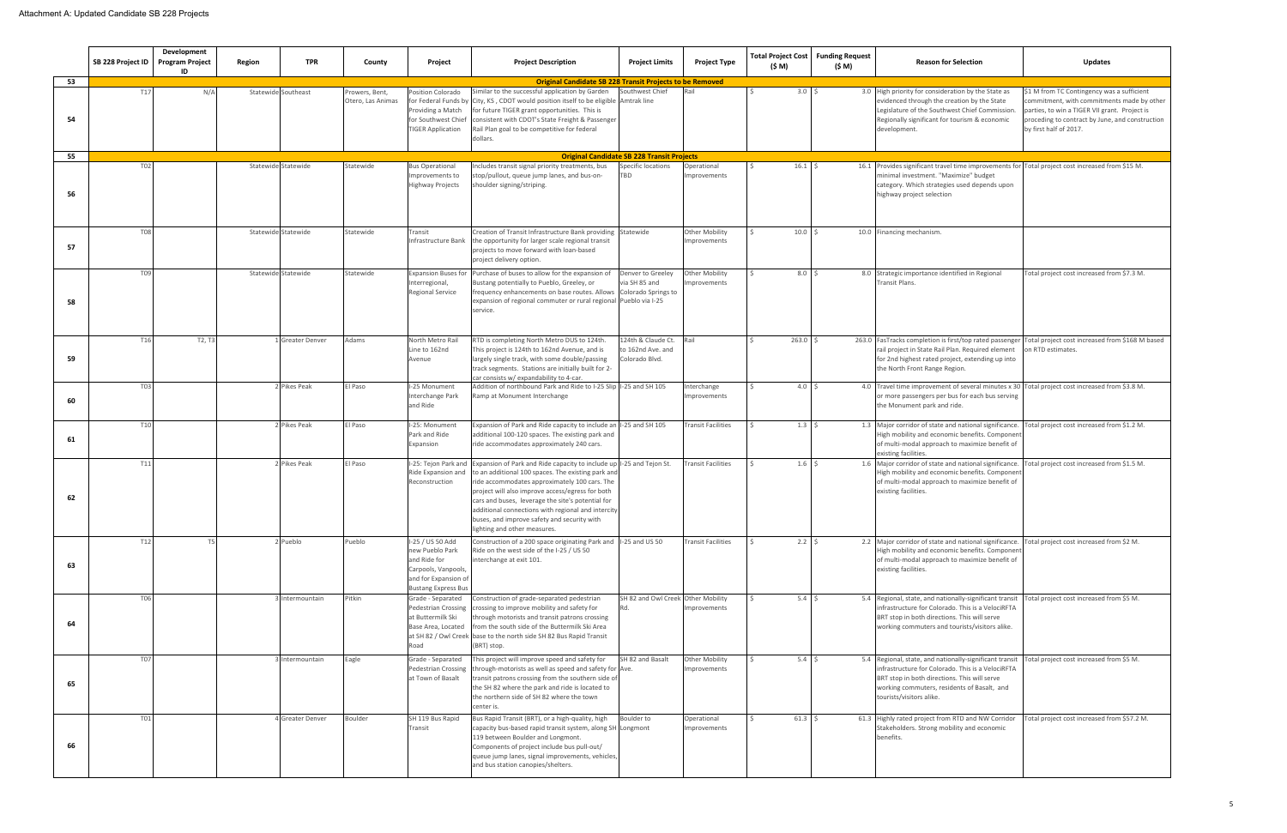|    | SB 228 Project ID | Development<br><b>Program Project</b><br>ID | Region              | <b>TPR</b>            | County                              | Project                                                                                                                          | <b>Project Description</b>                                                                                                                                                                                                                                                                                                                                                                                                | <b>Project Limits</b>                                     | <b>Project Type</b>                  | (\$ M)            | Total Project Cost   Funding Request<br>(\$ M) | <b>Reason for Selection</b>                                                                                                                                                                                                                       | <b>Updates</b>                                                                                                                                                                                                         |
|----|-------------------|---------------------------------------------|---------------------|-----------------------|-------------------------------------|----------------------------------------------------------------------------------------------------------------------------------|---------------------------------------------------------------------------------------------------------------------------------------------------------------------------------------------------------------------------------------------------------------------------------------------------------------------------------------------------------------------------------------------------------------------------|-----------------------------------------------------------|--------------------------------------|-------------------|------------------------------------------------|---------------------------------------------------------------------------------------------------------------------------------------------------------------------------------------------------------------------------------------------------|------------------------------------------------------------------------------------------------------------------------------------------------------------------------------------------------------------------------|
| 53 |                   |                                             |                     |                       |                                     |                                                                                                                                  | <b>Original Candidate SB 228 Transit Projects to be Removed</b>                                                                                                                                                                                                                                                                                                                                                           |                                                           |                                      |                   |                                                |                                                                                                                                                                                                                                                   |                                                                                                                                                                                                                        |
| 54 | T17               | N/A                                         | Statewide Southeast |                       | Prowers, Bent,<br>Otero, Las Animas | Position Colorado<br>for Federal Funds by<br>Providing a Match<br>for Southwest Chief<br><b>TIGER Application</b>                | Similar to the successful application by Garden<br>City, KS, CDOT would position itself to be eligible Amtrak line<br>for future TIGER grant opportunities. This is<br>consistent with CDOT's State Freight & Passenger<br>Rail Plan goal to be competitive for federal<br>dollars.                                                                                                                                       | Southwest Chief                                           |                                      | 3.0 <sup>5</sup>  |                                                | 3.0 High priority for consideration by the State as<br>evidenced through the creation by the State<br>Legislature of the Southwest Chief Commission.<br>Regionally significant for tourism & economic<br>development.                             | \$1 M from TC Contingency was a sufficient<br>commitment, with commitments made by other<br>parties, to win a TIGER VII grant. Project is<br>proceding to contract by June, and construction<br>by first half of 2017. |
| 55 |                   |                                             |                     |                       |                                     |                                                                                                                                  |                                                                                                                                                                                                                                                                                                                                                                                                                           | <b>Original Candidate SB 228 Transit Projects</b>         |                                      |                   |                                                |                                                                                                                                                                                                                                                   |                                                                                                                                                                                                                        |
| 56 | T <sub>02</sub>   |                                             | Statewide Statewide |                       | Statewide                           | <b>Bus Operational</b><br>Improvements to<br><b>Highway Projects</b>                                                             | Includes transit signal priority treatments, bus<br>top/pullout, queue jump lanes, and bus-on-<br>houlder signing/striping.                                                                                                                                                                                                                                                                                               | Specific locations<br><b>TBD</b>                          | Operational<br>mprovements           | $16.1 \quad $5$   |                                                | 16.1 Provides significant travel time improvements for Total project cost increased from \$15 M.<br>minimal investment. "Maximize" budget<br>category. Which strategies used depends upon<br>highway project selection                            |                                                                                                                                                                                                                        |
| 57 | <b>T08</b>        |                                             | Statewide Statewide |                       | Statewide                           | Transit                                                                                                                          | Creation of Transit Infrastructure Bank providing Statewide<br>Infrastructure Bank the opportunity for larger scale regional transit<br>projects to move forward with loan-based<br>project delivery option.                                                                                                                                                                                                              |                                                           | <b>Other Mobility</b><br>mprovements | 10.0 <sup>5</sup> |                                                | 10.0 Financing mechanism.                                                                                                                                                                                                                         |                                                                                                                                                                                                                        |
| 58 | T09               |                                             | Statewide Statewide |                       | Statewide                           | <b>Expansion Buses for</b><br>Interregional,<br><b>Regional Service</b>                                                          | Purchase of buses to allow for the expansion of<br>Bustang potentially to Pueblo, Greeley, or<br>frequency enhancements on base routes. Allows Colorado Springs to<br>expansion of regional commuter or rural regional Pueblo via I-25<br>service.                                                                                                                                                                        | Denver to Greeley<br>via SH 85 and                        | Other Mobility<br>nprovements        | 8.0 <sup>5</sup>  |                                                | 8.0 Strategic importance identified in Regional<br>Fransit Plans.                                                                                                                                                                                 | Total project cost increased from \$7.3 M.                                                                                                                                                                             |
| 59 | T16               | T <sub>2</sub> , T <sub>3</sub>             |                     | <b>Greater Denver</b> | Adams                               | North Metro Rai<br>Line to 162nd<br>Avenue                                                                                       | RTD is completing North Metro DUS to 124th.<br>This project is 124th to 162nd Avenue, and is<br>largely single track, with some double/passing<br>track segments. Stations are initially built for 2-<br>ar consists w/expandability to 4-car.                                                                                                                                                                            | 124th & Claude Ct.<br>to 162nd Ave. and<br>Colorado Blvd. | Rail                                 | $263.0$ \$        |                                                | 263.0 FasTracks completion is first/top rated passenger Total project cost increased from \$168 M based<br>rail project in State Rail Plan. Required element<br>for 2nd highest rated project, extending up into<br>the North Front Range Region. | on RTD estimates.                                                                                                                                                                                                      |
| 60 | T03               |                                             |                     | Pikes Peak            | El Paso                             | I-25 Monument<br>Interchange Park<br>and Ride                                                                                    | Addition of northbound Park and Ride to I-25 Slip I-25 and SH 105<br>Ramp at Monument Interchange                                                                                                                                                                                                                                                                                                                         |                                                           | nterchange<br>mprovements            | 4.0 <sup>5</sup>  |                                                | 4.0 Travel time improvement of several minutes x 30 Total project cost increased from \$3.8 M.<br>or more passengers per bus for each bus serving<br>the Monument park and ride.                                                                  |                                                                                                                                                                                                                        |
| 61 | T <sub>10</sub>   |                                             |                     | Pikes Peak            | El Paso                             | I-25: Monument<br>Park and Ride<br>Expansion                                                                                     | Expansion of Park and Ride capacity to include an I-25 and SH 105<br>additional 100-120 spaces. The existing park and<br>ride accommodates approximately 240 cars.                                                                                                                                                                                                                                                        |                                                           | <b>Transit Facilities</b>            | $1.3 \quad$       |                                                | 1.3 Major corridor of state and national significance.<br>High mobility and economic benefits. Component<br>of multi-modal approach to maximize benefit of<br>existing facilities.                                                                | Total project cost increased from \$1.2 M.                                                                                                                                                                             |
| 62 | T11               |                                             |                     | Pikes Peak            | El Paso                             | I-25: Tejon Park and<br>Ride Expansion and<br>Reconstruction                                                                     | Expansion of Park and Ride capacity to include up I-25 and Tejon St.<br>to an additional 100 spaces. The existing park and<br>ride accommodates approximately 100 cars. The<br>project will also improve access/egress for both<br>cars and buses, leverage the site's potential for<br>additional connections with regional and intercity<br>buses, and improve safety and security with<br>lighting and other measures. |                                                           | <b>Fransit Facilities</b>            | $1.6 \pm 5$       |                                                | 1.6 Major corridor of state and national significance.<br>High mobility and economic benefits. Component<br>of multi-modal approach to maximize benefit of<br>existing facilities.                                                                | Total project cost increased from \$1.5 M.                                                                                                                                                                             |
| 63 | T12               | T5                                          |                     | Pueblo                | Pueblo                              | I-25 / US 50 Add<br>new Pueblo Park<br>and Ride for<br>Carpools, Vanpools,<br>and for Expansion of<br><b>Bustang Express Bus</b> | Construction of a 200 space originating Park and I-25 and US 50<br>Ride on the west side of the I-25 / US 50<br>interchange at exit 101.                                                                                                                                                                                                                                                                                  |                                                           | <b>Transit Facilities</b>            | $2.2 \quad$ \$    |                                                | 2.2 Major corridor of state and national significance. Total project cost increased from \$2 M.<br>High mobility and economic benefits. Component<br>of multi-modal approach to maximize benefit of<br>existing facilities.                       |                                                                                                                                                                                                                        |
| 64 | T06               |                                             |                     | Intermountain         | Pitkin                              | Grade - Separated<br>Pedestrian Crossing<br>at Buttermilk Ski<br>Base Area, Located<br>at SH 82 / Owl Creek<br>Road              | Construction of grade-separated pedestrian<br>crossing to improve mobility and safety for<br>through motorists and transit patrons crossing<br>from the south side of the Buttermilk Ski Area<br>base to the north side SH 82 Bus Rapid Transit<br>(BRT) stop.                                                                                                                                                            | SH 82 and Owl Creek Other Mobility                        | mprovements                          | $5.4 \quad $5$    |                                                | 5.4 Regional, state, and nationally-significant transit<br>infrastructure for Colorado. This is a VelociRFTA<br>BRT stop in both directions. This will serve<br>working commuters and tourists/visitors alike.                                    | Total project cost increased from \$5 M.                                                                                                                                                                               |
| 65 | T07               |                                             |                     | Intermountain         | Eagle                               | Grade - Separated<br>Pedestrian Crossing<br>at Town of Basalt                                                                    | This project will improve speed and safety for<br>through-motorists as well as speed and safety for Ave.<br>transit patrons crossing from the southern side of<br>the SH 82 where the park and ride is located to<br>the northern side of SH 82 where the town<br>center is.                                                                                                                                              | SH 82 and Basalt                                          | Other Mobility<br>mprovements        | 5.4 <sup>5</sup>  |                                                | 5.4 Regional, state, and nationally-significant transit<br>infrastructure for Colorado. This is a VelociRFTA<br>BRT stop in both directions. This will serve<br>working commuters, residents of Basalt, and<br>tourists/visitors alike.           | Total project cost increased from \$5 M.                                                                                                                                                                               |
| 66 | T01               |                                             |                     | <b>Greater Denver</b> | Boulder                             | SH 119 Bus Rapid<br>Transit                                                                                                      | Bus Rapid Transit (BRT), or a high-quality, high<br>capacity bus-based rapid transit system, along SH Longmont<br>119 between Boulder and Longmont.<br>Components of project include bus pull-out/<br>queue jump lanes, signal improvements, vehicles,<br>and bus station canopies/shelters.                                                                                                                              | Boulder to                                                | Operational<br>mprovements           | $61.3$ \$         |                                                | 61.3 Highly rated project from RTD and NW Corridor<br>Stakeholders. Strong mobility and economic<br>benefits.                                                                                                                                     | Total project cost increased from \$57.2 M.                                                                                                                                                                            |